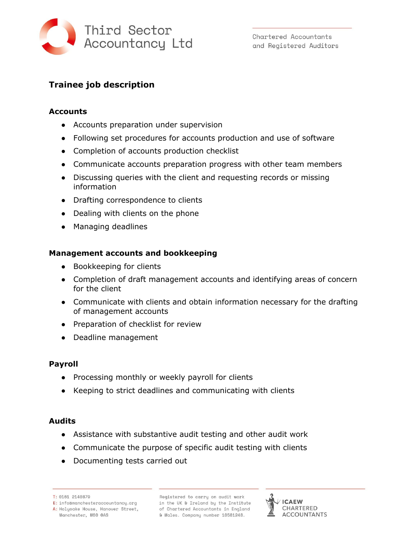

Chartered Accountants and Registered Auditors

# **Trainee job description**

### **Accounts**

- **●** Accounts preparation under supervision
- Following set procedures for accounts production and use of software
- Completion of accounts production checklist
- **●** Communicate accounts preparation progress with other team members
- **●** Discussing queries with the client and requesting records or missing information
- **●** Drafting correspondence to clients
- **●** Dealing with clients on the phone
- Managing deadlines

### **Management accounts and bookkeeping**

- Bookkeeping for clients
- **●** Completion of draft management accounts and identifying areas of concern for the client
- **●** Communicate with clients and obtain information necessary for the drafting of management accounts
- **●** Preparation of checklist for review
- **●** Deadline management

# **Payroll**

- Processing monthly or weekly payroll for clients
- Keeping to strict deadlines and communicating with clients

#### **Audits**

- **●** Assistance with substantive audit testing and other audit work
- **●** Communicate the purpose of specific audit testing with clients
- **●** Documenting tests carried out

T: 0161 2140879

Registered to carry on audit work in the UK & Ireland by the Institute of Chartered Accountants in England & Wales. Company number 10581248.



E: infoamanchesteraccountancu.org A: Holyoake House, Hanover Street, Manchester, M60 0AS